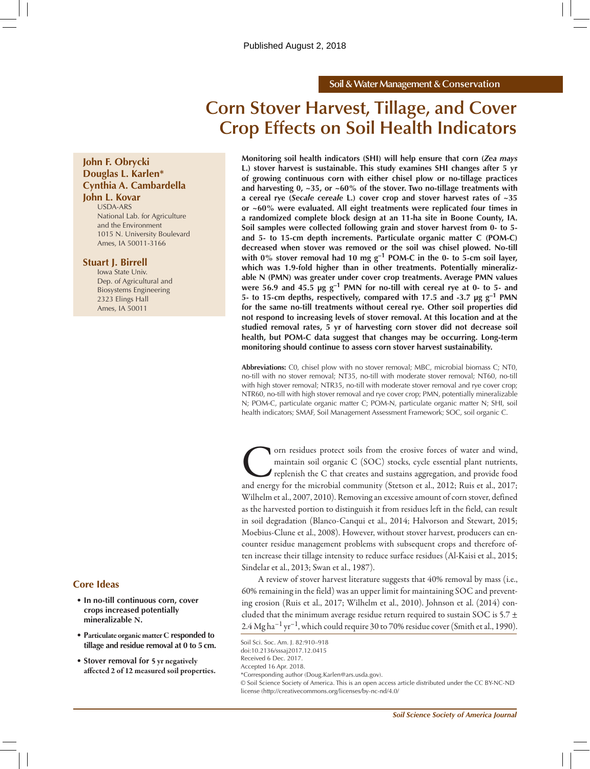#### **Soil & Water Management & Conservation**

# **Corn Stover Harvest, Tillage, and Cover Crop Effects on Soil Health Indicators**

## **John F. Obrycki Douglas L. Karlen\* Cynthia A. Cambardella John L. Kovar**

USDA-ARS National Lab. for Agriculture and the Environment 1015 N. University Boulevard Ames, IA 50011-3166

#### **Stuart J. Birrell**

Iowa State Univ. Dep. of Agricultural and Biosystems Engineering 2323 Elings Hall Ames, IA 50011

#### **Core Ideas**

- **• In no-till continuous corn, cover crops increased potentially mineralizable** N**.**
- **• P**articulate organic matter C **responded to tillage and residue removal at 0 to 5cm.**
- **• Stover removal for** 5 yr negatively affected 2 of 12 measured soil properties.

**Monitoring soil health indicators (SHI) will help ensure that corn (***Zea mays* **L.) stover harvest is sustainable. This study examines SHI changes after 5 yr of growing continuous corn with either chisel plow or no-tillage practices and harvesting 0, ~35, or ~60% of the stover. Two no-tillage treatments with a cereal rye (***Secale cereale* **L.) cover crop and stover harvest rates of ~35 or ~60% were evaluated. All eight treatments were replicated four times in a randomized complete block design at an 11-ha site in Boone County, IA. Soil samples were collected following grain and stover harvest from 0- to 5 and 5- to 15-cm depth increments. Particulate organic matter C (POM-C) decreased when stover was removed or the soil was chisel plowed. No-till with 0% stover removal had 10 mg g–1 POM-C in the 0- to 5-cm soil layer, which was 1.9-fold higher than in other treatments. Potentially mineralizable N (PMN) was greater under cover crop treatments. Average PMN values**  were 56.9 and 45.5  $\mu$ g g<sup>-1</sup> PMN for no-till with cereal rye at 0- to 5- and **5- to 15-cm depths, respectively, compared with 17.5 and -3.7 µg g–1 PMN for the same no-till treatments without cereal rye. Other soil properties did not respond to increasing levels of stover removal. At this location and at the studied removal rates, 5 yr of harvesting corn stover did not decrease soil health, but POM-C data suggest that changes may be occurring. Long-term monitoring should continue to assess corn stover harvest sustainability.**

**Abbreviations:** C0, chisel plow with no stover removal; MBC, microbial biomass C; NT0, no-till with no stover removal; NT35, no-till with moderate stover removal; NT60, no-till with high stover removal; NTR35, no-till with moderate stover removal and rye cover crop; NTR60, no-till with high stover removal and rye cover crop; PMN, potentially mineralizable N; POM-C, particulate organic matter C; POM-N, particulate organic matter N; SHI, soil health indicators; SMAF, Soil Management Assessment Framework; SOC, soil organic C.

The corn residues protect soils from the erosive forces of water and wind, maintain soil organic C (SOC) stocks, cycle essential plant nutrients, replenish the C that creates and sustains aggregation, and provide food and maintain soil organic C (SOC) stocks, cycle essential plant nutrients, replenish the C that creates and sustains aggregation, and provide food and energy for the microbial community (Stetson et al., 2012; Ruis et al., 2017; Wilhelm et al., 2007, 2010). Removing an excessive amount of corn stover, defined as the harvested portion to distinguish it from residues left in the field, can result in soil degradation (Blanco-Canqui et al., 2014; Halvorson and Stewart, 2015; Moebius-Clune et al., 2008). However, without stover harvest, producers can encounter residue management problems with subsequent crops and therefore often increase their tillage intensity to reduce surface residues (Al-Kaisi et al., 2015; Sindelar et al., 2013; Swan et al., 1987).

A review of stover harvest literature suggests that 40% removal by mass (i.e., 60% remaining in the field) was an upper limit for maintaining SOC and preventing erosion (Ruis et al., 2017; Wilhelm et al., 2010). Johnson et al. (2014) concluded that the minimum average residue return required to sustain SOC is 5.7 ±  $2.4$  Mg ha<sup>-1</sup> yr<sup>-1</sup>, which could require 30 to 70% residue cover (Smith et al., 1990).

\*Corresponding author (Doug.Karlen@ars.usda.gov).

Soil Sci. Soc. Am. J. 82:910–918 doi:10.2136/sssaj2017.12.0415 Received 6 Dec. 2017. Accepted 16 Apr. 2018.

<sup>©</sup> Soil Science Society of America. This is an open access article distributed under the CC BY-NC-ND license (http://creativecommons.org/licenses/by-nc-nd/4.0/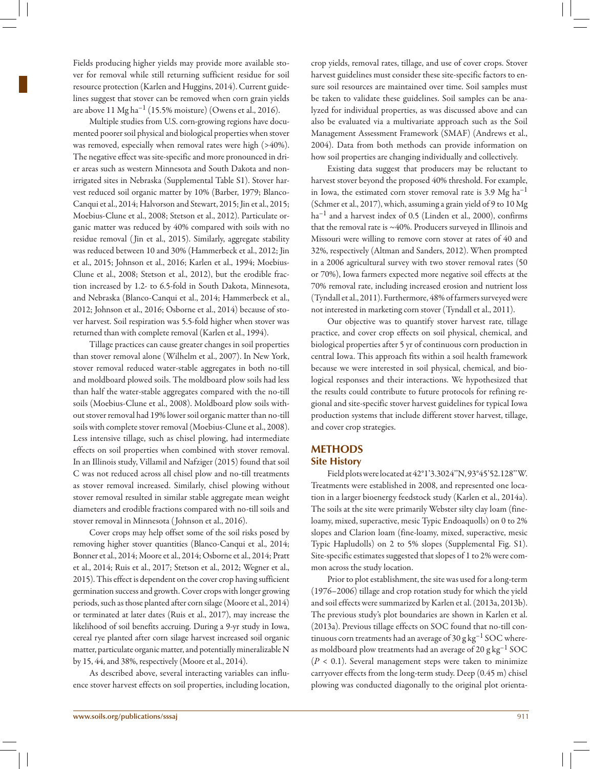Fields producing higher yields may provide more available stover for removal while still returning sufficient residue for soil resource protection (Karlen and Huggins, 2014). Current guidelines suggest that stover can be removed when corn grain yields are above  $11 \text{ Mg ha}^{-1}$  (15.5% moisture) (Owens et al., 2016).

Multiple studies from U.S. corn-growing regions have documented poorer soil physical and biological properties when stover was removed, especially when removal rates were high (>40%). The negative effect was site-specific and more pronounced in drier areas such as western Minnesota and South Dakota and nonirrigated sites in Nebraska (Supplemental Table S1). Stover harvest reduced soil organic matter by 10% (Barber, 1979; Blanco-Canqui et al., 2014; Halvorson and Stewart, 2015; Jin et al., 2015; Moebius-Clune et al., 2008; Stetson et al., 2012). Particulate organic matter was reduced by 40% compared with soils with no residue removal ( Jin et al., 2015). Similarly, aggregate stability was reduced between 10 and 30% (Hammerbeck et al., 2012; Jin et al., 2015; Johnson et al., 2016; Karlen et al., 1994; Moebius-Clune et al., 2008; Stetson et al., 2012), but the erodible fraction increased by 1.2- to 6.5-fold in South Dakota, Minnesota, and Nebraska (Blanco-Canqui et al., 2014; Hammerbeck et al., 2012; Johnson et al., 2016; Osborne et al., 2014) because of stover harvest. Soil respiration was 5.5-fold higher when stover was returned than with complete removal (Karlen et al., 1994).

Tillage practices can cause greater changes in soil properties than stover removal alone (Wilhelm et al., 2007). In New York, stover removal reduced water-stable aggregates in both no-till and moldboard plowed soils. The moldboard plow soils had less than half the water-stable aggregates compared with the no-till soils (Moebius-Clune et al., 2008). Moldboard plow soils without stover removal had 19% lower soil organic matter than no-till soils with complete stover removal (Moebius-Clune et al., 2008). Less intensive tillage, such as chisel plowing, had intermediate effects on soil properties when combined with stover removal. In an Illinois study, Villamil and Nafziger (2015) found that soil C was not reduced across all chisel plow and no-till treatments as stover removal increased. Similarly, chisel plowing without stover removal resulted in similar stable aggregate mean weight diameters and erodible fractions compared with no-till soils and stover removal in Minnesota ( Johnson et al., 2016).

Cover crops may help offset some of the soil risks posed by removing higher stover quantities (Blanco-Canqui et al., 2014; Bonner et al., 2014; Moore et al., 2014; Osborne et al., 2014; Pratt et al., 2014; Ruis et al., 2017; Stetson et al., 2012; Wegner et al., 2015). This effect is dependent on the cover crop having sufficient germination success and growth. Cover crops with longer growing periods, such as those planted after corn silage (Moore et al., 2014) or terminated at later dates (Ruis et al., 2017), may increase the likelihood of soil benefits accruing. During a 9-yr study in Iowa, cereal rye planted after corn silage harvest increased soil organic matter, particulate organic matter, and potentially mineralizable N by 15, 44, and 38%, respectively (Moore et al., 2014).

As described above, several interacting variables can influence stover harvest effects on soil properties, including location, crop yields, removal rates, tillage, and use of cover crops. Stover harvest guidelines must consider these site-specific factors to ensure soil resources are maintained over time. Soil samples must be taken to validate these guidelines. Soil samples can be analyzed for individual properties, as was discussed above and can also be evaluated via a multivariate approach such as the Soil Management Assessment Framework (SMAF) (Andrews et al., 2004). Data from both methods can provide information on how soil properties are changing individually and collectively.

Existing data suggest that producers may be reluctant to harvest stover beyond the proposed 40% threshold. For example, in Iowa, the estimated corn stover removal rate is 3.9  $Mg$  ha<sup>-1</sup> (Schmer et al., 2017), which, assuming a grain yield of 9 to 10 Mg  $ha^{-1}$  and a harvest index of 0.5 (Linden et al., 2000), confirms that the removal rate is ~40%. Producers surveyed in Illinois and Missouri were willing to remove corn stover at rates of 40 and 32%, respectively (Altman and Sanders, 2012). When prompted in a 2006 agricultural survey with two stover removal rates (50 or 70%), Iowa farmers expected more negative soil effects at the 70% removal rate, including increased erosion and nutrient loss (Tyndall et al., 2011). Furthermore, 48% of farmers surveyed were not interested in marketing corn stover (Tyndall et al., 2011).

Our objective was to quantify stover harvest rate, tillage practice, and cover crop effects on soil physical, chemical, and biological properties after 5 yr of continuous corn production in central Iowa. This approach fits within a soil health framework because we were interested in soil physical, chemical, and biological responses and their interactions. We hypothesized that the results could contribute to future protocols for refining regional and site-specific stover harvest guidelines for typical Iowa production systems that include different stover harvest, tillage, and cover crop strategies.

## **Methods Site History**

Field plots were located at 42°1'3.3024''N, 93°45'52.128''W. Treatments were established in 2008, and represented one location in a larger bioenergy feedstock study (Karlen et al., 2014a). The soils at the site were primarily Webster silty clay loam (fineloamy, mixed, superactive, mesic Typic Endoaquolls) on 0 to 2% slopes and Clarion loam (fine-loamy, mixed, superactive, mesic Typic Hapludolls) on 2 to 5% slopes (Supplemental Fig. S1). Site-specific estimates suggested that slopes of 1 to 2% were common across the study location.

Prior to plot establishment, the site was used for a long-term (1976–2006) tillage and crop rotation study for which the yield and soil effects were summarized by Karlen et al. (2013a, 2013b). The previous study's plot boundaries are shown in Karlen et al. (2013a). Previous tillage effects on SOC found that no-till continuous corn treatments had an average of 30 g  $\text{kg}^{-1}$  SOC whereas moldboard plow treatments had an average of 20  $\rm g\,kg^{-1}$  SOC (*P* < 0.1). Several management steps were taken to minimize carryover effects from the long-term study. Deep (0.45 m) chisel plowing was conducted diagonally to the original plot orienta-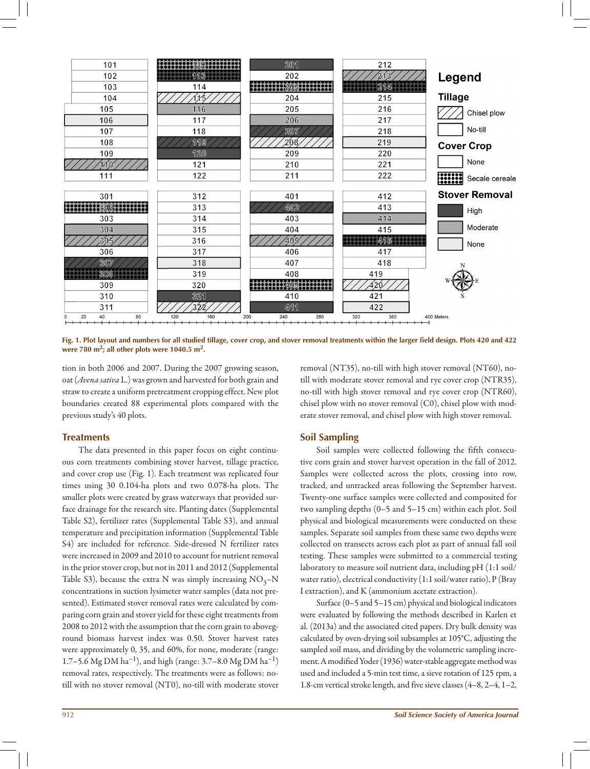

**Fig. 1. Plot layout and numbers for all studied tillage, cover crop, and stover removal treatments within the larger field design. Plots 420 and 422 were 780 m2; all other plots were 1040.5 m2.**

tion in both 2006 and 2007. During the 2007 growing season, oat (*Avena sativa* L.) was grown and harvested for both grain and straw to create a uniform pretreatment cropping effect. New plot boundaries created 88 experimental plots compared with the previous study's 40 plots.

#### **Treatments**

The data presented in this paper focus on eight continuous corn treatments combining stover harvest, tillage practice, and cover crop use (Fig. 1). Each treatment was replicated four times using 30 0.104-ha plots and two 0.078-ha plots. The smaller plots were created by grass waterways that provided surface drainage for the research site. Planting dates (Supplemental Table S2), fertilizer rates (Supplemental Table S3), and annual temperature and precipitation information (Supplemental Table S4) are included for reference. Side-dressed N fertilizer rates were increased in 2009 and 2010 to account for nutrient removal in the prior stover crop, but not in 2011 and 2012 (Supplemental Table S3), because the extra N was simply increasing  $NO<sub>3</sub>-N$ concentrations in suction lysimeter water samples (data not presented). Estimated stover removal rates were calculated by comparing corn grain and stover yield for these eight treatments from 2008 to 2012 with the assumption that the corn grain to aboveground biomass harvest index was 0.50. Stover harvest rates were approximately 0, 35, and 60%, for none, moderate (range: 1.7–5.6 Mg DM ha<sup>-1</sup>), and high (range: 3.7–8.0 Mg DM ha<sup>-1</sup>) removal rates, respectively. The treatments were as follows: notill with no stover removal (NT0), no-till with moderate stover removal (NT35), no-till with high stover removal (NT60), notill with moderate stover removal and rye cover crop (NTR35), no-till with high stover removal and rye cover crop (NTR60), chisel plow with no stover removal (C0), chisel plow with moderate stover removal, and chisel plow with high stover removal.

## **Soil Sampling**

Soil samples were collected following the fifth consecutive corn grain and stover harvest operation in the fall of 2012. Samples were collected across the plots, crossing into row, tracked, and untracked areas following the September harvest. Twenty-one surface samples were collected and composited for two sampling depths (0–5 and 5–15 cm) within each plot. Soil physical and biological measurements were conducted on these samples. Separate soil samples from these same two depths were collected on transects across each plot as part of annual fall soil testing. These samples were submitted to a commercial testing laboratory to measure soil nutrient data, including pH (1:1 soil/ water ratio), electrical conductivity (1:1 soil/water ratio), P (Bray I extraction), and K (ammonium acetate extraction).

Surface (0–5 and 5–15 cm) physical and biological indicators were evaluated by following the methods described in Karlen et al. (2013a) and the associated cited papers. Dry bulk density was calculated by oven-drying soil subsamples at 105°C, adjusting the sampled soil mass, and dividing by the volumetric sampling increment. A modified Yoder (1936) water-stable aggregate method was used and included a 5-min test time, a sieve rotation of 125 rpm, a 1.8-cm vertical stroke length, and five sieve classes (4–8, 2–4, 1–2,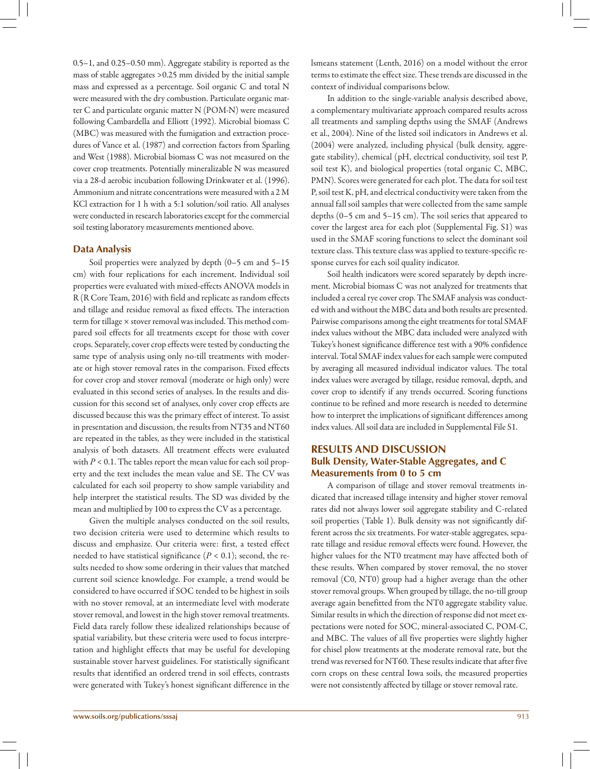0.5–1, and 0.25–0.50 mm). Aggregate stability is reported as the mass of stable aggregates >0.25 mm divided by the initial sample mass and expressed as a percentage. Soil organic C and total N were measured with the dry combustion. Particulate organic matter C and particulate organic matter N (POM-N) were measured following Cambardella and Elliott (1992). Microbial biomass C (MBC) was measured with the fumigation and extraction procedures of Vance et al. (1987) and correction factors from Sparling and West (1988). Microbial biomass C was not measured on the cover crop treatments. Potentially mineralizable N was measured via a 28-d aerobic incubation following Drinkwater et al. (1996). Ammonium and nitrate concentrations were measured with a 2 M KCl extraction for 1 h with a 5:1 solution/soil ratio. All analyses were conducted in research laboratories except for the commercial soil testing laboratory measurements mentioned above.

## **Data Analysis**

Soil properties were analyzed by depth (0–5 cm and 5–15 cm) with four replications for each increment. Individual soil properties were evaluated with mixed-effects ANOVA models in R (R Core Team, 2016) with field and replicate as random effects and tillage and residue removal as fixed effects. The interaction term for tillage × stover removal was included. This method compared soil effects for all treatments except for those with cover crops. Separately, cover crop effects were tested by conducting the same type of analysis using only no-till treatments with moderate or high stover removal rates in the comparison. Fixed effects for cover crop and stover removal (moderate or high only) were evaluated in this second series of analyses. In the results and discussion for this second set of analyses, only cover crop effects are discussed because this was the primary effect of interest. To assist in presentation and discussion, the results from NT35 and NT60 are repeated in the tables, as they were included in the statistical analysis of both datasets. All treatment effects were evaluated with  $P < 0.1$ . The tables report the mean value for each soil property and the text includes the mean value and SE. The CV was calculated for each soil property to show sample variability and help interpret the statistical results. The SD was divided by the mean and multiplied by 100 to express the CV as a percentage.

Given the multiple analyses conducted on the soil results, two decision criteria were used to determine which results to discuss and emphasize. Our criteria were: first, a tested effect needed to have statistical significance  $(P < 0.1)$ ; second, the results needed to show some ordering in their values that matched current soil science knowledge. For example, a trend would be considered to have occurred if SOC tended to be highest in soils with no stover removal, at an intermediate level with moderate stover removal, and lowest in the high stover removal treatments. Field data rarely follow these idealized relationships because of spatial variability, but these criteria were used to focus interpretation and highlight effects that may be useful for developing sustainable stover harvest guidelines. For statistically significant results that identified an ordered trend in soil effects, contrasts were generated with Tukey's honest significant difference in the

In addition to the single-variable analysis described above, a complementary multivariate approach compared results across all treatments and sampling depths using the SMAF (Andrews et al., 2004). Nine of the listed soil indicators in Andrews et al. (2004) were analyzed, including physical (bulk density, aggregate stability), chemical (pH, electrical conductivity, soil test P, soil test K), and biological properties (total organic C, MBC, PMN). Scores were generated for each plot. The data for soil test P, soil test K, pH, and electrical conductivity were taken from the annual fall soil samples that were collected from the same sample depths (0–5 cm and 5–15 cm). The soil series that appeared to cover the largest area for each plot (Supplemental Fig. S1) was used in the SMAF scoring functions to select the dominant soil texture class. This texture class was applied to texture-specific response curves for each soil quality indicator.

Soil health indicators were scored separately by depth increment. Microbial biomass C was not analyzed for treatments that included a cereal rye cover crop. The SMAF analysis was conducted with and without the MBC data and both results are presented. Pairwise comparisons among the eight treatments for total SMAF index values without the MBC data included were analyzed with Tukey's honest significance difference test with a 90% confidence interval. Total SMAF index values for each sample were computed by averaging all measured individual indicator values. The total index values were averaged by tillage, residue removal, depth, and cover crop to identify if any trends occurred. Scoring functions continue to be refined and more research is needed to determine how to interpret the implications of significant differences among index values. All soil data are included in Supplemental File S1.

## **Results and Discussion Bulk Density, Water-Stable Aggregates, and C Measurements from 0 to 5 cm**

A comparison of tillage and stover removal treatments indicated that increased tillage intensity and higher stover removal rates did not always lower soil aggregate stability and C-related soil properties (Table 1). Bulk density was not significantly different across the six treatments. For water-stable aggregates, separate tillage and residue removal effects were found. However, the higher values for the NT0 treatment may have affected both of these results. When compared by stover removal, the no stover removal (C0, NT0) group had a higher average than the other stover removal groups. When grouped by tillage, the no-till group average again benefitted from the NT0 aggregate stability value. Similar results in which the direction of response did not meet expectations were noted for SOC, mineral-associated C, POM-C, and MBC. The values of all five properties were slightly higher for chisel plow treatments at the moderate removal rate, but the trend was reversed for NT60. These results indicate that after five corn crops on these central Iowa soils, the measured properties were not consistently affected by tillage or stover removal rate.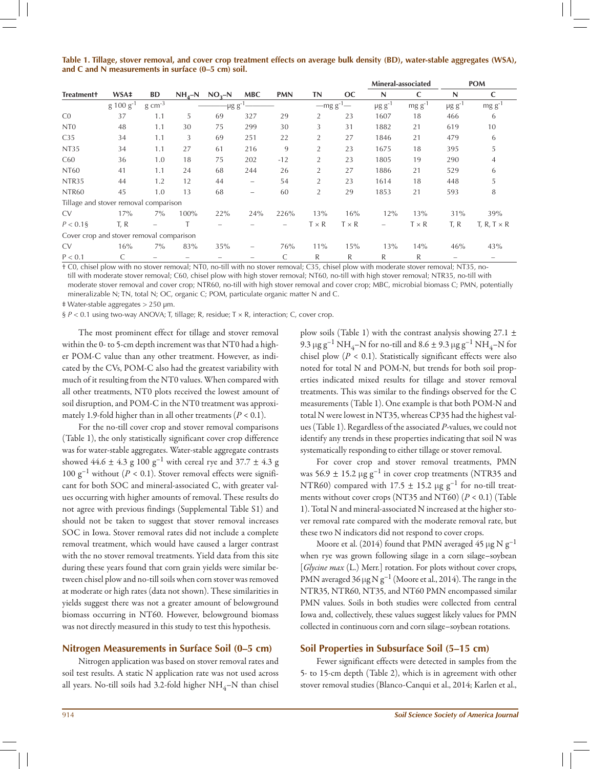| Table 1. Tillage, stover removal, and cover crop treatment effects on average bulk density (BD), water-stable aggregates (WSA), |  |  |
|---------------------------------------------------------------------------------------------------------------------------------|--|--|
| and C and N measurements in surface (0–5 cm) soil.                                                                              |  |  |

|                                          |                | BD                       |      | $NH_4-N$ $NO_3-N$   | <b>MBC</b>               | <b>PMN</b>               | <b>TN</b>      | <b>OC</b>    | Mineral-associated       |              | <b>POM</b>              |                    |  |
|------------------------------------------|----------------|--------------------------|------|---------------------|--------------------------|--------------------------|----------------|--------------|--------------------------|--------------|-------------------------|--------------------|--|
| <b>Treatment+</b>                        | WSA‡           |                          |      |                     |                          |                          |                |              | N                        | C            | N                       | C                  |  |
|                                          | $g 100 g^{-1}$ | $g \text{ cm}^{-3}$      |      | -μg g <sup>-1</sup> |                          |                          |                | $-mg g^{-1}$ | $\mu$ g g <sup>-1</sup>  | $mg g^{-1}$  | $\mu$ g g <sup>-1</sup> | $mg g^{-1}$        |  |
| CO                                       | 37             | 1.1                      | 5    | 69                  | 327                      | 29                       | 2              | 23           | 1607                     | 18           | 466                     | 6                  |  |
| N <sub>T</sub> <sub>0</sub>              | 48             | 1.1                      | 30   | 75                  | 299                      | 30                       | 3              | 31           | 1882                     | 21           | 619                     | 10                 |  |
| C <sub>35</sub>                          | 34             | 1.1                      | 3    | 69                  | 251                      | 22                       | 2              | 27           | 1846                     | 21           | 479                     | 6                  |  |
| <b>NT35</b>                              | 34             | 1.1                      | 27   | 61                  | 216                      | 9                        | $\overline{2}$ | 23           | 1675                     | 18           | 395                     | 5                  |  |
| C60                                      | 36             | 1.0                      | 18   | 75                  | 202                      | $-12$                    | 2              | 23           | 1805                     | 19           | 290                     | $\overline{4}$     |  |
| <b>NT60</b>                              | 41             | 1.1                      | 24   | 68                  | 244                      | 26                       | 2              | 27           | 1886                     | 21           | 529                     | 6                  |  |
| NTR <sub>35</sub>                        | 44             | 1.2                      | 12   | 44                  | $\overline{\phantom{0}}$ | 54                       | $\overline{2}$ | 23           | 1614                     | 18           | 448                     | 5                  |  |
| NTR60                                    | 45             | 1.0                      | 13   | 68                  | -                        | 60                       | $\overline{2}$ | 29           | 1853                     | 21           | 593                     | 8                  |  |
| Tillage and stover removal comparison    |                |                          |      |                     |                          |                          |                |              |                          |              |                         |                    |  |
| <b>CV</b>                                | 17%            | $7\%$                    | 100% | 22%                 | 24%                      | 226%                     | 13%            | 16%          | 12%                      | 13%          | 31%                     | 39%                |  |
| $P < 0.1$ §                              | T, R           | $\overline{\phantom{0}}$ |      |                     |                          | $\overline{\phantom{0}}$ | $T \times R$   | $T \times R$ | $\overline{\phantom{0}}$ | $T \times R$ | T, R                    | T, R, T $\times$ R |  |
| Cover crop and stover removal comparison |                |                          |      |                     |                          |                          |                |              |                          |              |                         |                    |  |
| <b>CV</b>                                | 16%            | $7\%$                    | 83%  | 35%                 | $\overline{\phantom{0}}$ | 76%                      | 11%            | 15%          | 13%                      | 14%          | 46%                     | 43%                |  |
| P < 0.1                                  |                |                          |      |                     |                          | C                        | R              | R            | R                        | R            |                         |                    |  |

† C0, chisel plow with no stover removal; NT0, no-till with no stover removal; C35, chisel plow with moderate stover removal; NT35, notill with moderate stover removal; C60, chisel plow with high stover removal; NT60, no-till with high stover removal; NTR35, no-till with moderate stover removal and cover crop; NTR60, no-till with high stover removal and cover crop; MBC, microbial biomass C; PMN, potentially mineralizable N; TN, total N; OC, organic C; POM, particulate organic matter N and C.

‡ Water-stable aggregates > 250 µm.

§  $P < 0.1$  using two-way ANOVA; T, tillage; R, residue; T × R, interaction; C, cover crop.

The most prominent effect for tillage and stover removal within the 0- to 5-cm depth increment was that NT0 had a higher POM-C value than any other treatment. However, as indicated by the CVs, POM-C also had the greatest variability with much of it resulting from the NT0 values. When compared with all other treatments, NT0 plots received the lowest amount of soil disruption, and POM-C in the NT0 treatment was approximately 1.9-fold higher than in all other treatments  $(P < 0.1)$ .

For the no-till cover crop and stover removal comparisons (Table 1), the only statistically significant cover crop difference was for water-stable aggregates. Water-stable aggregate contrasts showed  $44.6 \pm 4.3$  g  $100 \text{ g}^{-1}$  with cereal rye and  $37.7 \pm 4.3$  g 100  $g^{-1}$  without ( $P < 0.1$ ). Stover removal effects were significant for both SOC and mineral-associated C, with greater values occurring with higher amounts of removal. These results do not agree with previous findings (Supplemental Table S1) and should not be taken to suggest that stover removal increases SOC in Iowa. Stover removal rates did not include a complete removal treatment, which would have caused a larger contrast with the no stover removal treatments. Yield data from this site during these years found that corn grain yields were similar between chisel plow and no-till soils when corn stover was removed at moderate or high rates (data not shown). These similarities in yields suggest there was not a greater amount of belowground biomass occurring in NT60. However, belowground biomass was not directly measured in this study to test this hypothesis.

## **Nitrogen Measurements in Surface Soil (0–5 cm)**

Nitrogen application was based on stover removal rates and soil test results. A static N application rate was not used across all years. No-till soils had 3.2-fold higher  $NH_4$ –N than chisel plow soils (Table 1) with the contrast analysis showing  $27.1 \pm$ 9.3  $\mu$ g g<sup>-1</sup> NH<sub>4</sub>–N for no-till and 8.6 ± 9.3  $\mu$ g g<sup>-1</sup> NH<sub>4</sub>–N for chisel plow  $(P < 0.1)$ . Statistically significant effects were also noted for total N and POM-N, but trends for both soil properties indicated mixed results for tillage and stover removal treatments. This was similar to the findings observed for the C measurements (Table 1). One example is that both POM-N and total N were lowest in NT35, whereas CP35 had the highest values (Table 1). Regardless of the associated *P*-values, we could not identify any trends in these properties indicating that soil N was systematically responding to either tillage or stover removal.

For cover crop and stover removal treatments, PMN was 56.9  $\pm$  15.2 µg g<sup>-1</sup> in cover crop treatments (NTR35 and NTR60) compared with 17.5  $\pm$  15.2 µg g<sup>-1</sup> for no-till treatments without cover crops (NT35 and NT60) (*P* < 0.1) (Table 1). Total N and mineral-associated N increased at the higher stover removal rate compared with the moderate removal rate, but these two N indicators did not respond to cover crops.

Moore et al. (2014) found that PMN averaged 45  $\mu$ g N g<sup>-1</sup> when rye was grown following silage in a corn silage–soybean [*Glycine max* (L.) Merr.] rotation. For plots without cover crops, PMN averaged 36  $\mu$ g N g<sup>-1</sup> (Moore et al., 2014). The range in the NTR35, NTR60, NT35, and NT60 PMN encompassed similar PMN values. Soils in both studies were collected from central Iowa and, collectively, these values suggest likely values for PMN collected in continuous corn and corn silage–soybean rotations.

## **Soil Properties in Subsurface Soil (5–15 cm)**

Fewer significant effects were detected in samples from the 5- to 15-cm depth (Table 2), which is in agreement with other stover removal studies (Blanco-Canqui et al., 2014; Karlen et al.,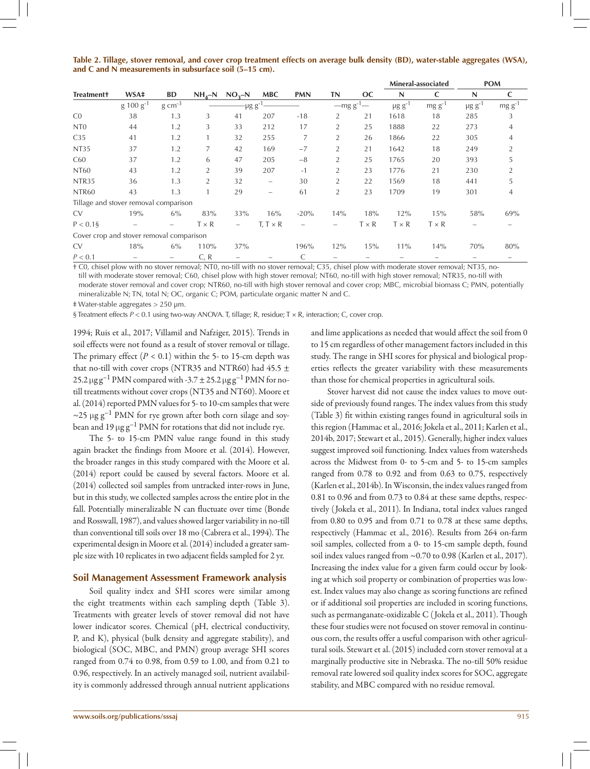|  |  |  |                                                                   |  |  | Table 2. Tillage, stover removal, and cover crop treatment effects on average bulk density (BD), water-stable aggregates (WSA), |  |
|--|--|--|-------------------------------------------------------------------|--|--|---------------------------------------------------------------------------------------------------------------------------------|--|
|  |  |  | and C and N measurements in subsurface soil $(5-15 \text{ cm})$ . |  |  |                                                                                                                                 |  |

|                                          |                    |                          |                |                          |                          |                          |                |              |                         | Mineral-associated |                          | <b>POM</b>     |
|------------------------------------------|--------------------|--------------------------|----------------|--------------------------|--------------------------|--------------------------|----------------|--------------|-------------------------|--------------------|--------------------------|----------------|
| <b>Treatment+</b>                        | WSA‡               | <b>BD</b>                | $NH_{4}-N$     | $NO3-N$                  | <b>MBC</b>               | <b>PMN</b>               | <b>TN</b>      | <b>OC</b>    | N                       | C                  | N                        | C              |
|                                          | $\rm g 100 g^{-1}$ | $g \text{ cm}^{-3}$      |                | -μg g <sup>-1</sup>      |                          |                          | $-mg g^{-1}$   |              | $\mu$ g g <sup>-1</sup> | $mg g^{-1}$        | $\mu$ g g <sup>-1</sup>  | $mg g^{-1}$    |
| CO                                       | 38                 | 1.3                      | 3              | 41                       | 207                      | $-18$                    | 2              | 21           | 1618                    | 18                 | 285                      | 3              |
| N <sub>T</sub> <sub>0</sub>              | 44                 | 1.2                      | 3              | 33                       | 212                      | 17                       | $\overline{2}$ | 25           | 1888                    | 22                 | 273                      | $\overline{4}$ |
| C <sub>35</sub>                          | 41                 | 1.2                      |                | 32                       | 255                      | 7                        | $\overline{2}$ | 26           | 1866                    | 22                 | 305                      | 4              |
| <b>NT35</b>                              | 37                 | 1.2                      |                | 42                       | 169                      | $-7$                     | $\overline{2}$ | 21           | 1642                    | 18                 | 249                      | $\overline{2}$ |
| C60                                      | 37                 | 1.2                      | 6              | 47                       | 205                      | $-8$                     | $\overline{2}$ | 25           | 1765                    | 20                 | 393                      | 5              |
| <b>NT60</b>                              | 43                 | 1.2                      | $\overline{2}$ | 39                       | 207                      | $-1$                     | $\overline{2}$ | 23           | 1776                    | 21                 | 230                      | 2              |
| NTR35                                    | 36                 | 1.3                      | $\overline{2}$ | 32                       | $\overline{\phantom{m}}$ | 30                       | $\overline{2}$ | 22           | 1569                    | 18                 | 441                      | 5              |
| NTR60                                    | 43                 | 1.3                      |                | 29                       | $\overline{\phantom{0}}$ | 61                       | $\overline{2}$ | 23           | 1709                    | 19                 | 301                      | 4              |
| Tillage and stover removal comparison    |                    |                          |                |                          |                          |                          |                |              |                         |                    |                          |                |
| <b>CV</b>                                | 19%                | 6%                       | 83%            | 33%                      | 16%                      | $-20%$                   | 14%            | 18%          | 12%                     | 15%                | 58%                      | 69%            |
| $P < 0.1$ §                              | -                  | $\overline{\phantom{0}}$ | $T \times R$   | $\overline{\phantom{0}}$ | $T, T \times R$          | $\overline{\phantom{0}}$ | -              | $T \times R$ | $T \times R$            | $T \times R$       | $\overline{\phantom{0}}$ |                |
| Cover crop and stover removal comparison |                    |                          |                |                          |                          |                          |                |              |                         |                    |                          |                |
| <b>CV</b>                                | 18%                | 6%                       | 110%           | 37%                      |                          | 196%                     | 12%            | 15%          | 11%                     | 14%                | 70%                      | 80%            |
| P < 0.1                                  |                    |                          | C, R           |                          |                          | C                        |                |              |                         |                    |                          |                |

† C0, chisel plow with no stover removal; NT0, no-till with no stover removal; C35, chisel plow with moderate stover removal; NT35, notill with moderate stover removal; C60, chisel plow with high stover removal; NT60, no-till with high stover removal; NTR35, no-till with moderate stover removal and cover crop; NTR60, no-till with high stover removal and cover crop; MBC, microbial biomass C; PMN, potentially mineralizable N; TN, total N; OC, organic C; POM, particulate organic matter N and C.

‡ Water-stable aggregates > 250 µm.

§ Treatment effects  $P < 0.1$  using two-way ANOVA. T, tillage; R, residue; T × R, interaction; C, cover crop.

1994; Ruis et al., 2017; Villamil and Nafziger, 2015). Trends in soil effects were not found as a result of stover removal or tillage. The primary effect  $(P < 0.1)$  within the 5- to 15-cm depth was that no-till with cover crops (NTR35 and NTR60) had 45.5  $\pm$ 25.2  $\mu$ gg<sup>-1</sup> PMN compared with -3.7  $\pm$  25.2  $\mu$ gg<sup>-1</sup> PMN for notill treatments without cover crops (NT35 and NT60). Moore et al. (2014) reported PMN values for 5- to 10-cm samples that were  $\sim$ 25 µg g<sup>-1</sup> PMN for rye grown after both corn silage and soybean and 19  $\mu$ g g<sup>-1</sup> PMN for rotations that did not include rye.

The 5- to 15-cm PMN value range found in this study again bracket the findings from Moore et al. (2014). However, the broader ranges in this study compared with the Moore et al. (2014) report could be caused by several factors. Moore et al. (2014) collected soil samples from untracked inter-rows in June, but in this study, we collected samples across the entire plot in the fall. Potentially mineralizable N can fluctuate over time (Bonde and Rosswall, 1987), and values showed larger variability in no-till than conventional till soils over 18 mo (Cabrera et al., 1994). The experimental design in Moore et al. (2014) included a greater sample size with 10 replicates in two adjacent fields sampled for 2 yr.

#### **Soil Management Assessment Framework analysis**

Soil quality index and SHI scores were similar among the eight treatments within each sampling depth (Table 3). Treatments with greater levels of stover removal did not have lower indicator scores. Chemical (pH, electrical conductivity, P, and K), physical (bulk density and aggregate stability), and biological (SOC, MBC, and PMN) group average SHI scores ranged from 0.74 to 0.98, from 0.59 to 1.00, and from 0.21 to 0.96, respectively. In an actively managed soil, nutrient availability is commonly addressed through annual nutrient applications

and lime applications as needed that would affect the soil from 0 to 15 cm regardless of other management factors included in this study. The range in SHI scores for physical and biological properties reflects the greater variability with these measurements than those for chemical properties in agricultural soils.

Stover harvest did not cause the index values to move outside of previously found ranges. The index values from this study (Table 3) fit within existing ranges found in agricultural soils in this region (Hammac et al., 2016; Jokela et al., 2011; Karlen et al., 2014b, 2017; Stewart et al., 2015). Generally, higher index values suggest improved soil functioning. Index values from watersheds across the Midwest from 0- to 5-cm and 5- to 15-cm samples ranged from 0.78 to 0.92 and from 0.63 to 0.75, respectively (Karlen et al., 2014b). In Wisconsin, the index values ranged from 0.81 to 0.96 and from 0.73 to 0.84 at these same depths, respectively ( Jokela et al., 2011). In Indiana, total index values ranged from 0.80 to 0.95 and from 0.71 to 0.78 at these same depths, respectively (Hammac et al., 2016). Results from 264 on-farm soil samples, collected from a 0- to 15-cm sample depth, found soil index values ranged from ~0.70 to 0.98 (Karlen et al., 2017). Increasing the index value for a given farm could occur by looking at which soil property or combination of properties was lowest. Index values may also change as scoring functions are refined or if additional soil properties are included in scoring functions, such as permanganate-oxidizable C ( Jokela et al., 2011). Though these four studies were not focused on stover removal in continuous corn, the results offer a useful comparison with other agricultural soils. Stewart et al. (2015) included corn stover removal at a marginally productive site in Nebraska. The no-till 50% residue removal rate lowered soil quality index scores for SOC, aggregate stability, and MBC compared with no residue removal.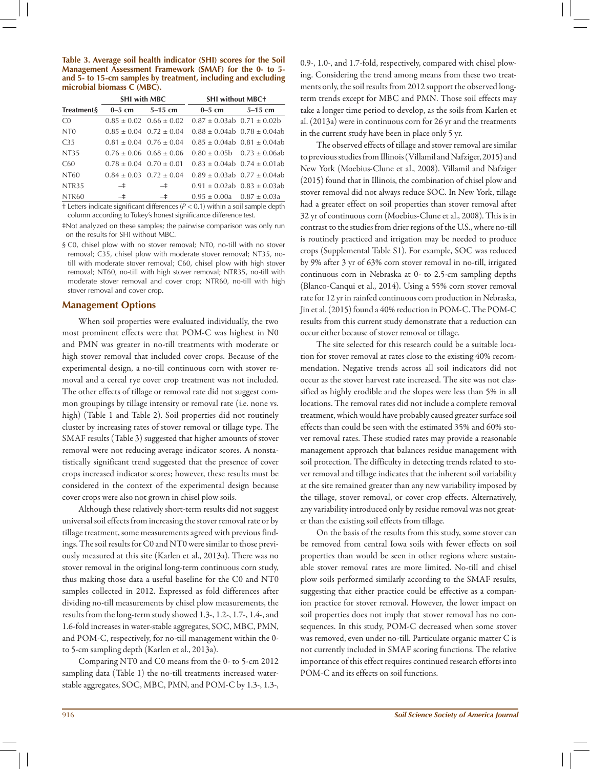**Table 3. Average soil health indicator (SHI) scores for the Soil Management Assessment Framework (SMAF) for the 0- to 5 and 5- to 15-cm samples by treatment, including and excluding microbial biomass C (MBC).**

|                   | <b>SHI with MBC</b>             |                                 | <b>SHI without MBC+</b>                                                                      |                                       |  |  |  |
|-------------------|---------------------------------|---------------------------------|----------------------------------------------------------------------------------------------|---------------------------------------|--|--|--|
| <b>Treatments</b> |                                 | $0-5$ cm $5-15$ cm              | $0-5$ cm                                                                                     | $5-15$ cm                             |  |  |  |
| CO                |                                 | $0.85 \pm 0.02$ $0.66 \pm 0.02$ | $0.87 \pm 0.03$ ab $0.71 \pm 0.02$ b                                                         |                                       |  |  |  |
| N <sub>TO</sub>   |                                 | $0.85 \pm 0.04$ $0.72 \pm 0.04$ |                                                                                              | $0.88 \pm 0.04$ ab $0.78 \pm 0.04$ ab |  |  |  |
| C <sub>35</sub>   |                                 | $0.81 \pm 0.04$ $0.76 \pm 0.04$ |                                                                                              | $0.85 \pm 0.04$ ab $0.81 \pm 0.04$ ab |  |  |  |
| NT35              |                                 | $0.76 \pm 0.06$ $0.68 \pm 0.06$ |                                                                                              | $0.80 \pm 0.05b$ 0.73 $\pm$ 0.06ab    |  |  |  |
| C60               | $0.78 \pm 0.04$ $0.70 \pm 0.01$ |                                 |                                                                                              | $0.83 \pm 0.04$ ab $0.74 \pm 0.01$ ab |  |  |  |
| NT60              |                                 | $0.84 \pm 0.03$ $0.72 \pm 0.04$ |                                                                                              | $0.89 \pm 0.03$ ab $0.77 \pm 0.04$ ab |  |  |  |
| NTR <sub>35</sub> | $-$ ‡                           | $-$ ‡                           |                                                                                              | $0.91 \pm 0.02$ ab $0.83 \pm 0.03$ ab |  |  |  |
| NTR60             | $ \pm$                          | $-$ ‡                           | $0.95 \pm 0.00a$ $0.87 \pm 0.03a$                                                            |                                       |  |  |  |
|                   |                                 |                                 | $\pm$ Letters indicate cignificant differences ( $D \times 0.1$ ) within a soil cample death |                                       |  |  |  |

† Letters indicate significant differences (*P* < 0.1) within a soil sample depth column according to Tukey's honest significance difference test.

‡Not analyzed on these samples; the pairwise comparison was only run on the results for SHI without MBC.

§ C0, chisel plow with no stover removal; NT0, no-till with no stover removal; C35, chisel plow with moderate stover removal; NT35, notill with moderate stover removal; C60, chisel plow with high stover removal; NT60, no-till with high stover removal; NTR35, no-till with moderate stover removal and cover crop; NTR60, no-till with high stover removal and cover crop.

### **Management Options**

When soil properties were evaluated individually, the two most prominent effects were that POM-C was highest in N0 and PMN was greater in no-till treatments with moderate or high stover removal that included cover crops. Because of the experimental design, a no-till continuous corn with stover removal and a cereal rye cover crop treatment was not included. The other effects of tillage or removal rate did not suggest common groupings by tillage intensity or removal rate (i.e. none vs. high) (Table 1 and Table 2). Soil properties did not routinely cluster by increasing rates of stover removal or tillage type. The SMAF results (Table 3) suggested that higher amounts of stover removal were not reducing average indicator scores. A nonstatistically significant trend suggested that the presence of cover crops increased indicator scores; however, these results must be considered in the context of the experimental design because cover crops were also not grown in chisel plow soils.

Although these relatively short-term results did not suggest universal soil effects from increasing the stover removal rate or by tillage treatment, some measurements agreed with previous findings. The soil results for C0 and NT0 were similar to those previously measured at this site (Karlen et al., 2013a). There was no stover removal in the original long-term continuous corn study, thus making those data a useful baseline for the C0 and NT0 samples collected in 2012. Expressed as fold differences after dividing no-till measurements by chisel plow measurements, the results from the long-term study showed 1.3-, 1.2-, 1.7-, 1.4-, and 1.6-fold increases in water-stable aggregates, SOC, MBC, PMN, and POM-C, respectively, for no-till management within the 0 to 5-cm sampling depth (Karlen et al., 2013a).

Comparing NT0 and C0 means from the 0- to 5-cm 2012 sampling data (Table 1) the no-till treatments increased waterstable aggregates, SOC, MBC, PMN, and POM-C by 1.3-, 1.3-, 0.9-, 1.0-, and 1.7-fold, respectively, compared with chisel plowing. Considering the trend among means from these two treatments only, the soil results from 2012 support the observed longterm trends except for MBC and PMN. Those soil effects may take a longer time period to develop, as the soils from Karlen et al. (2013a) were in continuous corn for 26 yr and the treatments in the current study have been in place only 5 yr.

The observed effects of tillage and stover removal are similar to previous studies from Illinois (Villamil and Nafziger, 2015) and New York (Moebius-Clune et al., 2008). Villamil and Nafziger (2015) found that in Illinois, the combination of chisel plow and stover removal did not always reduce SOC. In New York, tillage had a greater effect on soil properties than stover removal after 32 yr of continuous corn (Moebius-Clune et al., 2008). This is in contrast to the studies from drier regions of the U.S., where no-till is routinely practiced and irrigation may be needed to produce crops (Supplemental Table S1). For example, SOC was reduced by 9% after 3 yr of 63% corn stover removal in no-till, irrigated continuous corn in Nebraska at 0- to 2.5-cm sampling depths (Blanco-Canqui et al., 2014). Using a 55% corn stover removal rate for 12 yr in rainfed continuous corn production in Nebraska, Jin et al. (2015) found a 40% reduction in POM-C. The POM-C results from this current study demonstrate that a reduction can occur either because of stover removal or tillage.

The site selected for this research could be a suitable location for stover removal at rates close to the existing 40% recommendation. Negative trends across all soil indicators did not occur as the stover harvest rate increased. The site was not classified as highly erodible and the slopes were less than 5% in all locations. The removal rates did not include a complete removal treatment, which would have probably caused greater surface soil effects than could be seen with the estimated 35% and 60% stover removal rates. These studied rates may provide a reasonable management approach that balances residue management with soil protection. The difficulty in detecting trends related to stover removal and tillage indicates that the inherent soil variability at the site remained greater than any new variability imposed by the tillage, stover removal, or cover crop effects. Alternatively, any variability introduced only by residue removal was not greater than the existing soil effects from tillage.

On the basis of the results from this study, some stover can be removed from central Iowa soils with fewer effects on soil properties than would be seen in other regions where sustainable stover removal rates are more limited. No-till and chisel plow soils performed similarly according to the SMAF results, suggesting that either practice could be effective as a companion practice for stover removal. However, the lower impact on soil properties does not imply that stover removal has no consequences. In this study, POM-C decreased when some stover was removed, even under no-till. Particulate organic matter C is not currently included in SMAF scoring functions. The relative importance of this effect requires continued research efforts into POM-C and its effects on soil functions.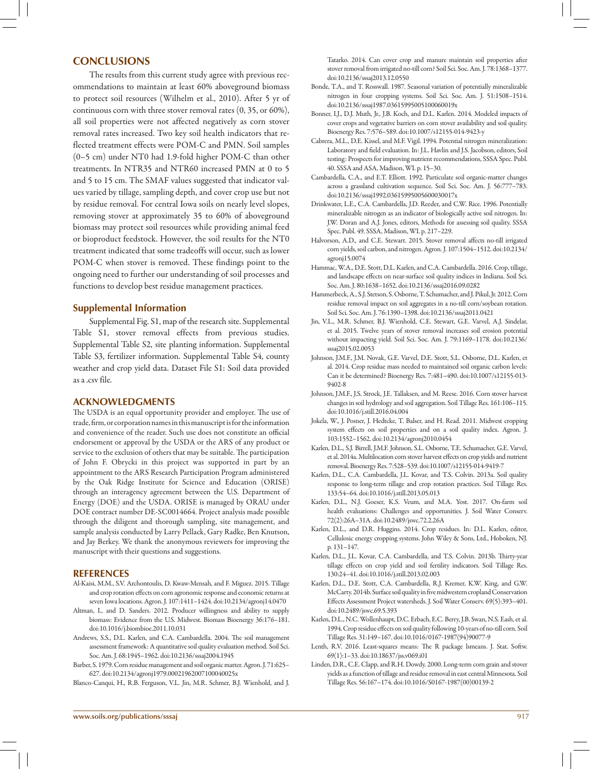## **Conclusions**

The results from this current study agree with previous recommendations to maintain at least 60% aboveground biomass to protect soil resources (Wilhelm et al., 2010). After 5 yr of continuous corn with three stover removal rates (0, 35, or 60%), all soil properties were not affected negatively as corn stover removal rates increased. Two key soil health indicators that reflected treatment effects were POM-C and PMN. Soil samples (0–5 cm) under NT0 had 1.9-fold higher POM-C than other treatments. In NTR35 and NTR60 increased PMN at 0 to 5 and 5 to 15 cm. The SMAF values suggested that indicator values varied by tillage, sampling depth, and cover crop use but not by residue removal. For central Iowa soils on nearly level slopes, removing stover at approximately 35 to 60% of aboveground biomass may protect soil resources while providing animal feed or bioproduct feedstock. However, the soil results for the NT0 treatment indicated that some tradeoffs will occur, such as lower POM-C when stover is removed. These findings point to the ongoing need to further our understanding of soil processes and functions to develop best residue management practices.

#### **Supplemental Information**

Supplemental Fig. S1, map of the research site. Supplemental Table S1, stover removal effects from previous studies. Supplemental Table S2, site planting information. Supplemental Table S3, fertilizer information. Supplemental Table S4, county weather and crop yield data. Dataset File S1: Soil data provided as a .csv file.

#### **Acknowledgments**

The USDA is an equal opportunity provider and employer. The use of trade, firm, or corporation names in this manuscript is for the information and convenience of the reader. Such use does not constitute an official endorsement or approval by the USDA or the ARS of any product or service to the exclusion of others that may be suitable. The participation of John F. Obrycki in this project was supported in part by an appointment to the ARS Research Participation Program administered by the Oak Ridge Institute for Science and Education (ORISE) through an interagency agreement between the U.S. Department of Energy (DOE) and the USDA. ORISE is managed by ORAU under DOE contract number DE-SC0014664. Project analysis made possible through the diligent and thorough sampling, site management, and sample analysis conducted by Larry Pellack, Gary Radke, Ben Knutson, and Jay Berkey. We thank the anonymous reviewers for improving the manuscript with their questions and suggestions.

#### **References**

- Al-Kaisi, M.M., S.V. Archontoulis, D. Kwaw-Mensah, and F. Miguez. 2015. Tillage and crop rotation effects on corn agronomic response and economic returns at seven Iowa locations. Agron. J. 107:1411–1424. [doi:10.2134/agronj14.0470](http://dx.doi.org/10.2134/agronj14.0470)
- Altman, I., and D. Sanders. 2012. Producer willingness and ability to supply biomass: Evidence from the U.S. Midwest. Biomass Bioenergy 36:176–181. [doi:10.1016/j.biombioe.2011.10.031](http://dx.doi.org/10.1016/j.biombioe.2011.10.031)
- Andrews, S.S., D.L. Karlen, and C.A. Cambardella. 2004. The soil management assessment framework: A quantitative soil quality evaluation method. Soil Sci. Soc. Am. J. 68:1945–1962. [doi:10.2136/sssaj2004.1945](http://dx.doi.org/10.2136/sssaj2004.1945)
- Barber, S. 1979. Corn residue management and soil organic matter. Agron. J. 71:625– 627. [doi:10.2134/agronj1979.00021962007100040025x](http://dx.doi.org/10.2134/agronj1979.00021962007100040025x)

Blanco-Canqui, H., R.B. Ferguson, V.L. Jin, M.R. Schmer, B.J. Wienhold, and J.

Tatarko. 2014. Can cover crop and manure maintain soil properties after stover removal from irrigated no-till corn? Soil Sci. Soc. Am. J. 78:1368–1377. [doi:10.2136/sssaj2013.12.0550](http://dx.doi.org/10.2136/sssaj2013.12.0550)

- Bonde, T.A., and T. Rosswall. 1987. Seasonal variation of potentially mineralizable nitrogen in four cropping systems. Soil Sci. Soc. Am. J. 51:1508–1514. [doi:10.2136/sssaj1987.03615995005100060019x](http://dx.doi.org/10.2136/sssaj1987.03615995005100060019x)
- Bonner, I.J., D.J. Muth, Jr., J.B. Koch, and D.L. Karlen. 2014. Modeled impacts of cover crops and vegetative barriers on corn stover availability and soil quality. Bioenergy Res. 7:576–589. [doi:10.1007/s12155-014-9423-y](http://dx.doi.org/10.1007/s12155-014-9423-y)
- Cabrera, M.L., D.E. Kissel, and M.F. Vigil. 1994. Potential nitrogen mineralization: Laboratory and field evaluation. In: J.L. Havlin and J.S. Jacobson, editors, Soil testing: Prospects for improving nutrient recommendations, SSSA Spec. Publ. 40. SSSA and ASA, Madison, WI. p. 15–30.
- Cambardella, C.A., and E.T. Elliott. 1992. Particulate soil organic-matter changes across a grassland cultivation sequence. Soil Sci. Soc. Am. J. 56:777–783. [doi:10.2136/sssaj1992.03615995005600030017x](http://dx.doi.org/10.2136/sssaj1992.03615995005600030017x)
- Drinkwater, L.E., C.A. Cambardella, J.D. Reeder, and C.W. Rice. 1996. Potentially mineralizable nitrogen as an indicator of biologically active soil nitrogen. In: J.W. Doran and A.J. Jones, editors, Methods for assessing soil quality. SSSA Spec. Publ. 49. SSSA, Madison, WI. p. 217–229.
- Halvorson, A.D., and C.E. Stewart. 2015. Stover removal affects no-till irrigated corn yields, soil carbon, and nitrogen. Agron. J. 107:1504–1512. [doi:10.2134/](http://dx.doi.org/10.2134/agronj15.0074) [agronj15.0074](http://dx.doi.org/10.2134/agronj15.0074)
- Hammac, W.A., D.E. Stott, D.L. Karlen, and C.A. Cambardella. 2016. Crop, tillage, and landscape effects on near-surface soil quality indices in Indiana. Soil Sci. Soc. Am. J. 80:1638–1652. [doi:10.2136/sssaj2016.09.0282](http://dx.doi.org/10.2136/sssaj2016.09.0282)
- Hammerbeck, A., S.J. Stetson, S. Osborne, T. Schumacher, and J. Pikul, Jr. 2012. Corn residue removal impact on soil aggregates in a no-till corn/soybean rotation. Soil Sci. Soc. Am. J. 76:1390–1398. [doi:10.2136/sssaj2011.0421](http://dx.doi.org/10.2136/sssaj2011.0421)
- Jin, V.L., M.R. Schmer, B.J. Wienhold, C.E. Stewart, G.E. Varvel, A.J. Sindelar, et al. 2015. Twelve years of stover removal increases soil erosion potential without impacting yield. Soil Sci. Soc. Am. J. 79:1169–1178. [doi:10.2136/](http://dx.doi.org/10.2136/sssaj2015.02.0053) [sssaj2015.02.0053](http://dx.doi.org/10.2136/sssaj2015.02.0053)
- Johnson, J.M.F., J.M. Novak, G.E. Varvel, D.E. Stott, S.L. Osborne, D.L. Karlen, et al. 2014. Crop residue mass needed to maintained soil organic carbon levels: Can it be determined? Bioenergy Res. 7:481–490. [doi:10.1007/s12155-013-](http://dx.doi.org/10.1007/s12155-013-9402-8) [9402-8](http://dx.doi.org/10.1007/s12155-013-9402-8)
- Johnson, J.M.F., J.S. Strock, J.E. Tallaksen, and M. Reese. 2016. Corn stover harvest changes in soil hydrology and soil aggregation. Soil Tillage Res. 161:106–115. [doi:10.1016/j.still.2016.04.004](http://dx.doi.org/10.1016/j.still.2016.04.004)
- Jokela, W., J. Posner, J. Hedtcke, T. Balser, and H. Read. 2011. Midwest cropping system effects on soil properties and on a soil quality index. Agron. J. 103:1552–1562. [doi:10.2134/agronj2010.0454](http://dx.doi.org/10.2134/agronj2010.0454)
- Karlen, D.L., S.J. Birrell, J.M.F. Johnson, S.L. Osborne, T.E. Schumacher, G.E. Varvel, et al. 2014a. Multilocation corn stover harvest effects on crop yields and nutrient removal. Bioenergy Res. 7:528–539. [doi:10.1007/s12155-014-9419-7](http://dx.doi.org/10.1007/s12155-014-9419-7)
- Karlen, D.L., C.A. Cambardella, J.L. Kovar, and T.S. Colvin. 2013a. Soil quality response to long-term tillage and crop rotation practices. Soil Tillage Res. 133:54–64. [doi:10.1016/j.still.2013.05.013](http://dx.doi.org/10.1016/j.still.2013.05.013)
- Karlen, D.L., N.J. Goeser, K.S. Veum, and M.A. Yost. 2017. On-farm soil health evaluations: Challenges and opportunities. J. Soil Water Conserv. 72(2):26A–31A. [doi:10.2489/jswc.72.2.26A](http://dx.doi.org/10.2489/jswc.72.2.26A)
- Karlen, D.L., and D.R. Huggins. 2014. Crop residues. In: D.L. Karlen, editor, Cellulosic energy cropping systems. John Wiley & Sons, Ltd., Hoboken, NJ. p. 131–147.
- Karlen, D.L., J.L. Kovar, C.A. Cambardella, and T.S. Colvin. 2013b. Thirty-year tillage effects on crop yield and soil fertility indicators. Soil Tillage Res. 130:24–41. [doi:10.1016/j.still.2013.02.003](http://dx.doi.org/10.1016/j.still.2013.02.003)
- Karlen, D.L., D.E. Stott, C.A. Cambardella, R.J. Kremer, K.W. King, and G.W. McCarty. 2014b. Surface soil quality in five midwestern cropland Conservation Effects Assessment Project watersheds. J. Soil Water Conserv. 69(5):393–401. [doi:10.2489/jswc.69.5.393](http://dx.doi.org/10.2489/jswc.69.5.393)
- Karlen, D.L., N.C. Wollenhaupt, D.C. Erbach, E.C. Berry, J.B. Swan, N.S. Eash, et al. 1994. Crop residue effects on soil quality following 10-years of no-till corn. Soil Tillage Res. 31:149–167. [doi:10.1016/0167-1987\(94\)90077-9](http://dx.doi.org/10.1016/0167-1987(94)90077-9)
- Lenth, R.V. 2016. Least-squares means: The R package lsmeans. J. Stat. Softw. 69(1):1–33. [doi:10.18637/jss.v069.i01](http://dx.doi.org/10.18637/jss.v069.i01)
- Linden, D.R., C.E. Clapp, and R.H. Dowdy. 2000. Long-term corn grain and stover yields as a function of tillage and residue removal in east central Minnesota. Soil Tillage Res. 56:167–174. [doi:10.1016/S0167-1987\(00\)00139-2](http://dx.doi.org/10.1016/S0167-1987(00)00139-2)